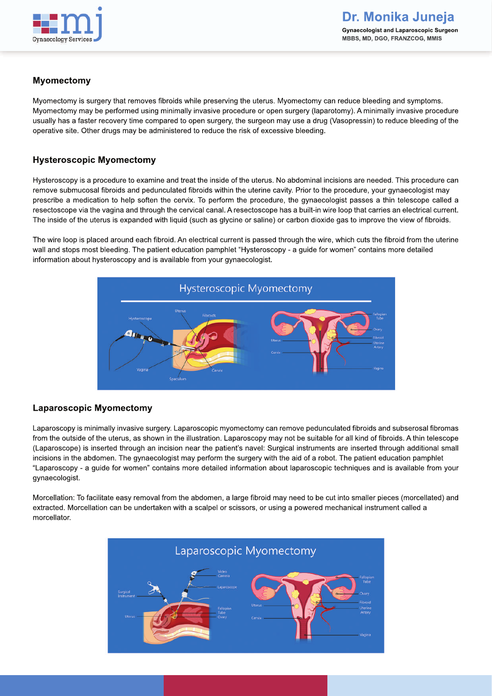

## **Myomectomy**

Myomectomy is surgery that removes fibroids while preserving the uterus. Myomectomy can reduce bleeding and symptoms. Myomectomy may be performed using minimally invasive procedure or open surgery (laparotomy). A minimally invasive procedure usually has a faster recovery time compared to open surgery, the surgeon may use a drug (Vasopressin) to reduce bleeding of the operative site. Other drugs may be administered to reduce the risk of excessive bleeding.

## **Hysteroscopic Myomectomy**

Hysteroscopy is a procedure to examine and treat the inside of the uterus. No abdominal incisions are needed. This procedure can remove submucosal fibroids and pedunculated fibroids within the uterine cavity. Prior to the procedure, your gynaecologist may prescribe a medication to help soften the cervix. To perform the procedure, the gynaecologist passes a thin telescope called a resectoscope via the vagina and through the cervical canal. A resectoscope has a built-in wire loop that carries an electrical current. The inside of the uterus is expanded with liquid (such as glycine or saline) or carbon dioxide gas to improve the view of fibroids.

The wire loop is placed around each fibroid. An electrical current is passed through the wire, which cuts the fibroid from the uterine wall and stops most bleeding. The patient education pamphlet "Hysteroscopy - a guide for women" contains more detailed information about hysteroscopy and is available from your gynaecologist.



## **Laparoscopic Myomectomy**

Laparoscopy is minimally invasive surgery. Laparoscopic myomectomy can remove pedunculated fibroids and subserosal fibromas from the outside of the uterus, as shown in the illustration. Laparoscopy may not be suitable for all kind of fibroids. A thin telescope (Laparoscope) is inserted through an incision near the patient's navel: Surgical instruments are inserted through additional small incisions in the abdomen. The gynaecologist may perform the surgery with the aid of a robot. The patient education pamphlet "Laparoscopy - a guide for women" contains more detailed information about laparoscopic techniques and is available from your gynaecologist.

Morcellation: To facilitate easy removal from the abdomen, a large fibroid may need to be cut into smaller pieces (morcellated) and extracted. Morcellation can be undertaken with a scalpel or scissors, or using a powered mechanical instrument called a morcellator.